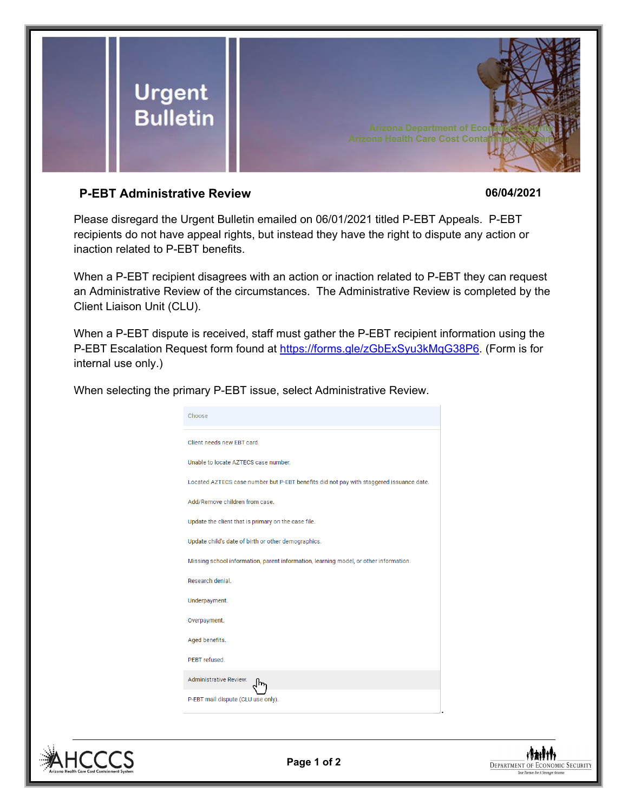

## **P-EBT Administrative Review 06/04/2021**

Please disregard the Urgent Bulletin emailed on 06/01/2021 titled P-EBT Appeals. P-EBT recipients do not have appeal rights, but instead they have the right to dispute any action or inaction related to P-EBT benefits.

When a P-EBT recipient disagrees with an action or inaction related to P-EBT they can request an Administrative Review of the circumstances. The Administrative Review is completed by the Client Liaison Unit (CLU).

When a P-EBT dispute is received, staff must gather the P-EBT recipient information using the P-EBT Escalation Request form found at [https://forms.gle/zGbExSyu3kMqG38P6.](https://forms.gle/zGbExSyu3kMqG38P6) (Form is for internal use only.)

|  |  |  | When selecting the primary P-EBT issue, select Administrative Review. |  |
|--|--|--|-----------------------------------------------------------------------|--|
|  |  |  |                                                                       |  |

| Choose                                                                                  |
|-----------------------------------------------------------------------------------------|
| Client needs new EBT card.                                                              |
| Unable to locate AZTECS case number.                                                    |
| Located AZTECS case number but P-EBT benefits did not pay with staggered issuance date. |
| Add/Remove children from case.                                                          |
| Update the client that is primary on the case file.                                     |
| Update child's date of birth or other demographics.                                     |
| Missing school information, parent information, learning model, or other information.   |
| Research denial.                                                                        |
| Underpayment.                                                                           |
| Overpayment.                                                                            |
| Aged benefits.                                                                          |
| PFBT refused.                                                                           |
| <b>Administrative Review.</b>                                                           |
| P-EBT mail dispute (CLU use only).                                                      |





.